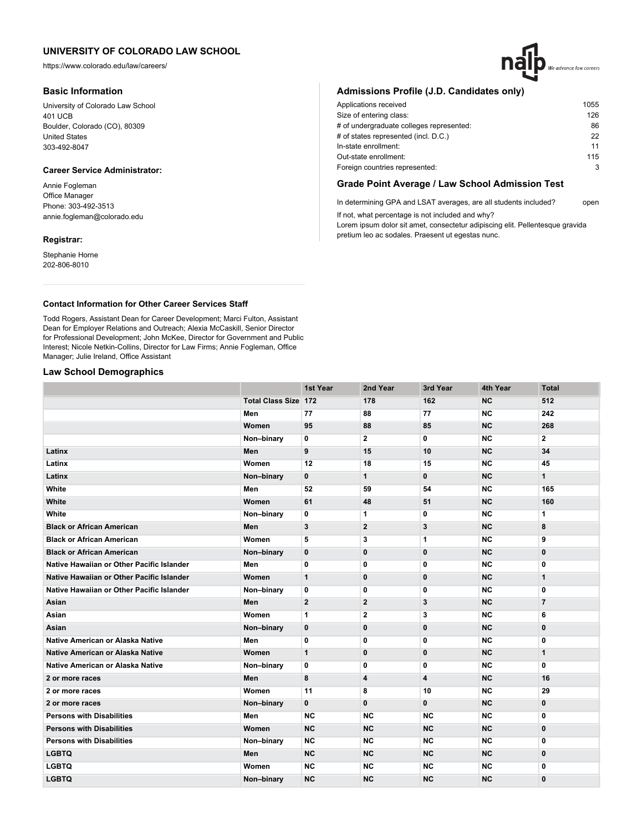https://www.colorado.edu/law/careers/

## **Basic Information**

University of Colorado Law School 401 UCB Boulder, Colorado (CO), 80309 United States 303-492-8047

# **Career Service Administrator:**

Annie Fogleman Office Manager Phone: 303-492-3513 annie.fogleman@colorado.edu

## **Registrar:**

Stephanie Horne 202-806-8010

# **Admissions Profile (J.D. Candidates only)**

| Applications received                    | 1055 |
|------------------------------------------|------|
| Size of entering class:                  | 126  |
| # of undergraduate colleges represented: | 86   |
| # of states represented (incl. D.C.)     | 22   |
| In-state enrollment:                     | 11   |
| Out-state enrollment:                    | 115  |
| Foreign countries represented:           | 3    |
|                                          |      |

## **Grade Point Average / Law School Admission Test**

In determining GPA and LSAT averages, are all students included? open If not, what percentage is not included and why?

Lorem ipsum dolor sit amet, consectetur adipiscing elit. Pellentesque gravida pretium leo ac sodales. Praesent ut egestas nunc.

## **Contact Information for Other Career Services Staff**

Todd Rogers, Assistant Dean for Career Development; Marci Fulton, Assistant Dean for Employer Relations and Outreach; Alexia McCaskill, Senior Director for Professional Development; John McKee, Director for Government and Public Interest; Nicole Netkin-Collins, Director for Law Firms; Annie Fogleman, Office Manager; Julie Ireland, Office Assistant

## **Law School Demographics**

|                                           |                             | 1st Year     | 2nd Year       | 3rd Year     | 4th Year  | <b>Total</b>   |
|-------------------------------------------|-----------------------------|--------------|----------------|--------------|-----------|----------------|
|                                           | <b>Total Class Size 172</b> |              | 178            | 162          | <b>NC</b> | 512            |
|                                           | Men                         | 77           | 88             | 77           | <b>NC</b> | 242            |
|                                           | Women                       | 95           | 88             | 85           | <b>NC</b> | 268            |
|                                           | Non-binary                  | 0            | $\mathbf{2}$   | 0            | <b>NC</b> | $\mathbf{2}$   |
| Latinx                                    | Men                         | 9            | 15             | 10           | <b>NC</b> | 34             |
| Latinx                                    | Women                       | 12           | 18             | 15           | <b>NC</b> | 45             |
| Latinx                                    | Non-binary                  | 0            | $\mathbf{1}$   | 0            | <b>NC</b> | $\mathbf{1}$   |
| White                                     | Men                         | 52           | 59             | 54           | <b>NC</b> | 165            |
| White                                     | Women                       | 61           | 48             | 51           | NC        | 160            |
| White                                     | Non-binary                  | 0            | 1              | 0            | <b>NC</b> | 1              |
| <b>Black or African American</b>          | Men                         | 3            | $\overline{2}$ | 3            | <b>NC</b> | 8              |
| <b>Black or African American</b>          | Women                       | 5            | 3              | 1            | <b>NC</b> | 9              |
| <b>Black or African American</b>          | Non-binary                  | 0            | $\bf{0}$       | $\bf{0}$     | <b>NC</b> | $\bf{0}$       |
| Native Hawaiian or Other Pacific Islander | Men                         | 0            | 0              | 0            | <b>NC</b> | 0              |
| Native Hawaiian or Other Pacific Islander | Women                       | $\mathbf{1}$ | $\mathbf 0$    | $\mathbf 0$  | NC        | $\mathbf{1}$   |
| Native Hawaiian or Other Pacific Islander | Non-binary                  | 0            | 0              | 0            | <b>NC</b> | 0              |
| Asian                                     | Men                         | $\mathbf{2}$ | $\overline{2}$ | 3            | <b>NC</b> | $\overline{7}$ |
| Asian                                     | Women                       | 1            | $\mathbf{2}$   | 3            | <b>NC</b> | 6              |
| Asian                                     | Non-binary                  | 0            | $\bf{0}$       | $\bf{0}$     | <b>NC</b> | $\bf{0}$       |
| <b>Native American or Alaska Native</b>   | Men                         | 0            | 0              | 0            | <b>NC</b> | 0              |
| Native American or Alaska Native          | Women                       | $\mathbf{1}$ | $\mathbf 0$    | $\mathbf{0}$ | <b>NC</b> | $\mathbf{1}$   |
| Native American or Alaska Native          | Non-binary                  | 0            | 0              | 0            | <b>NC</b> | 0              |
| 2 or more races                           | Men                         | 8            | 4              | 4            | <b>NC</b> | 16             |
| 2 or more races                           | Women                       | 11           | 8              | 10           | <b>NC</b> | 29             |
| 2 or more races                           | Non-binary                  | $\mathbf{0}$ | $\mathbf{0}$   | $\mathbf{0}$ | <b>NC</b> | 0              |
| <b>Persons with Disabilities</b>          | Men                         | <b>NC</b>    | <b>NC</b>      | <b>NC</b>    | <b>NC</b> | 0              |
| <b>Persons with Disabilities</b>          | Women                       | <b>NC</b>    | <b>NC</b>      | <b>NC</b>    | <b>NC</b> | $\bf{0}$       |
| <b>Persons with Disabilities</b>          | Non-binary                  | <b>NC</b>    | <b>NC</b>      | <b>NC</b>    | <b>NC</b> | 0              |
| <b>LGBTQ</b>                              | Men                         | <b>NC</b>    | <b>NC</b>      | <b>NC</b>    | <b>NC</b> | $\mathbf 0$    |
| <b>LGBTQ</b>                              | Women                       | <b>NC</b>    | <b>NC</b>      | <b>NC</b>    | <b>NC</b> | 0              |
| <b>LGBTQ</b>                              | Non-binary                  | <b>NC</b>    | <b>NC</b>      | <b>NC</b>    | <b>NC</b> | 0              |

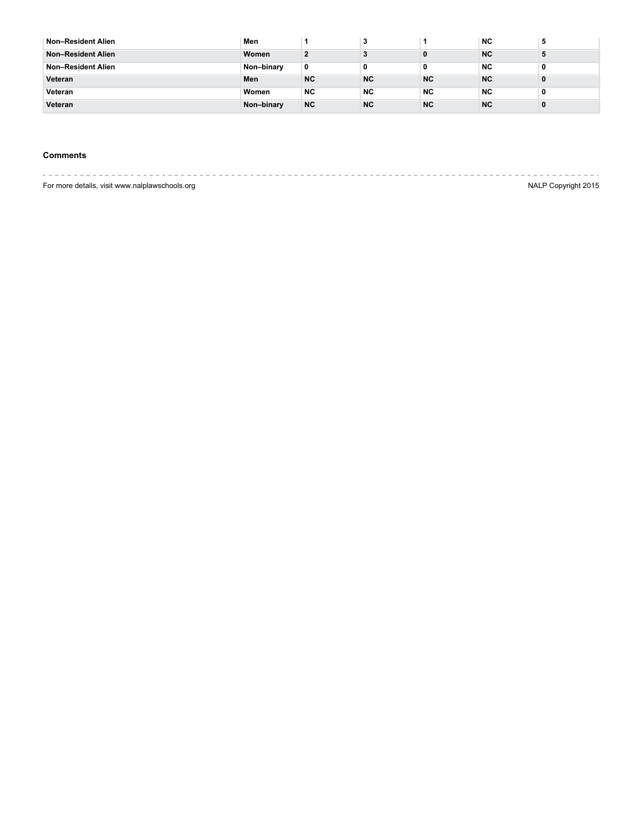| Non-Resident Alien        | Men        |           |           |           | <b>NC</b> | 5 |
|---------------------------|------------|-----------|-----------|-----------|-----------|---|
| <b>Non-Resident Alien</b> | Women      |           |           |           | <b>NC</b> |   |
| Non-Resident Alien        | Non-binary | 0         | 0         | 0         | NC.       | 0 |
| Veteran                   | Men        | <b>NC</b> | <b>NC</b> | <b>NC</b> | <b>NC</b> |   |
| Veteran                   | Women      | <b>NC</b> | <b>NC</b> | <b>NC</b> | NC.       | 0 |
| Veteran                   | Non-binary | <b>NC</b> | <b>NC</b> | <b>NC</b> | <b>NC</b> |   |

## **Comments**

---------------------For more details, visit www.nalplawschools.org NALP Copyright 2015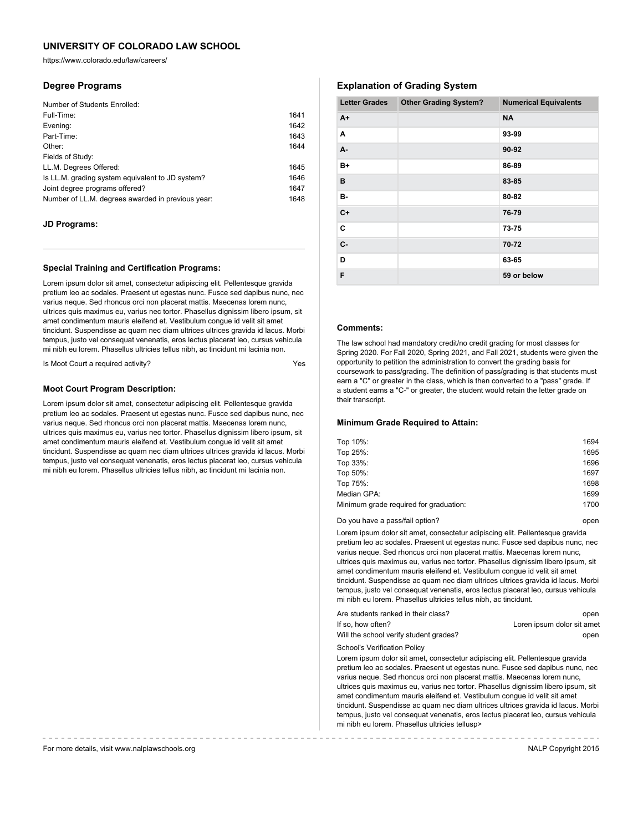https://www.colorado.edu/law/careers/

## **Degree Programs**

| Number of Students Enrolled:                      |      |
|---------------------------------------------------|------|
| Full-Time:                                        | 1641 |
| Evening:                                          | 1642 |
| Part-Time:                                        | 1643 |
| Other:                                            | 1644 |
| Fields of Study:                                  |      |
| LL.M. Degrees Offered:                            | 1645 |
| Is LL.M. grading system equivalent to JD system?  | 1646 |
| Joint degree programs offered?                    | 1647 |
| Number of LL.M. degrees awarded in previous year: | 1648 |

### **JD Programs:**

#### **Special Training and Certification Programs:**

Lorem ipsum dolor sit amet, consectetur adipiscing elit. Pellentesque gravida pretium leo ac sodales. Praesent ut egestas nunc. Fusce sed dapibus nunc, nec varius neque. Sed rhoncus orci non placerat mattis. Maecenas lorem nunc, ultrices quis maximus eu, varius nec tortor. Phasellus dignissim libero ipsum, sit amet condimentum mauris eleifend et. Vestibulum congue id velit sit amet tincidunt. Suspendisse ac quam nec diam ultrices ultrices gravida id lacus. Morbi tempus, justo vel consequat venenatis, eros lectus placerat leo, cursus vehicula mi nibh eu lorem. Phasellus ultricies tellus nibh, ac tincidunt mi lacinia non.

Is Moot Court a required activity?

## **Moot Court Program Description:**

Lorem ipsum dolor sit amet, consectetur adipiscing elit. Pellentesque gravida pretium leo ac sodales. Praesent ut egestas nunc. Fusce sed dapibus nunc, nec varius neque. Sed rhoncus orci non placerat mattis. Maecenas lorem nunc, ultrices quis maximus eu, varius nec tortor. Phasellus dignissim libero ipsum, sit amet condimentum mauris eleifend et. Vestibulum congue id velit sit amet tincidunt. Suspendisse ac quam nec diam ultrices ultrices gravida id lacus. Morbi tempus, justo vel consequat venenatis, eros lectus placerat leo, cursus vehicula mi nibh eu lorem. Phasellus ultricies tellus nibh, ac tincidunt mi lacinia non.

# **Explanation of Grading System**

| <b>Letter Grades</b> | <b>Other Grading System?</b> | <b>Numerical Equivalents</b> |
|----------------------|------------------------------|------------------------------|
| $A+$                 |                              | <b>NA</b>                    |
| A                    |                              | 93-99                        |
| A-                   |                              | 90-92                        |
| B+                   |                              | 86-89                        |
| в                    |                              | 83-85                        |
| в-                   |                              | 80-82                        |
| $C+$                 |                              | 76-79                        |
| C                    |                              | 73-75                        |
| $C -$                |                              | 70-72                        |
| D                    |                              | 63-65                        |
| F                    |                              | 59 or below                  |

## **Comments:**

The law school had mandatory credit/no credit grading for most classes for Spring 2020. For Fall 2020, Spring 2021, and Fall 2021, students were given the opportunity to petition the administration to convert the grading basis for coursework to pass/grading. The definition of pass/grading is that students must earn a "C" or greater in the class, which is then converted to a "pass" grade. If a student earns a "C-" or greater, the student would retain the letter grade on their transcript.

## **Minimum Grade Required to Attain:**

| Top 10%:                               | 1694 |
|----------------------------------------|------|
| Top 25%:                               | 1695 |
| Top 33%:                               | 1696 |
| Top 50%:                               | 1697 |
| Top 75%:                               | 1698 |
| Median GPA:                            | 1699 |
| Minimum grade required for graduation: | 1700 |
|                                        |      |

Do you have a pass/fail option? The control open by the control open by the control open

Lorem ipsum dolor sit amet, consectetur adipiscing elit. Pellentesque gravida pretium leo ac sodales. Praesent ut egestas nunc. Fusce sed dapibus nunc, nec varius neque. Sed rhoncus orci non placerat mattis. Maecenas lorem nunc, ultrices quis maximus eu, varius nec tortor. Phasellus dignissim libero ipsum, sit amet condimentum mauris eleifend et. Vestibulum congue id velit sit amet tincidunt. Suspendisse ac quam nec diam ultrices ultrices gravida id lacus. Morbi tempus, justo vel consequat venenatis, eros lectus placerat leo, cursus vehicula mi nibh eu lorem. Phasellus ultricies tellus nibh, ac tincidunt.

| Are students ranked in their class?    | open                       |
|----------------------------------------|----------------------------|
| If so, how often?                      | Loren ipsum dolor sit amet |
| Will the school verify student grades? | open                       |

School's Verification Policy

Lorem ipsum dolor sit amet, consectetur adipiscing elit. Pellentesque gravida pretium leo ac sodales. Praesent ut egestas nunc. Fusce sed dapibus nunc, nec varius neque. Sed rhoncus orci non placerat mattis. Maecenas lorem nunc, ultrices quis maximus eu, varius nec tortor. Phasellus dignissim libero ipsum, sit amet condimentum mauris eleifend et. Vestibulum congue id velit sit amet tincidunt. Suspendisse ac quam nec diam ultrices ultrices gravida id lacus. Morbi tempus, justo vel consequat venenatis, eros lectus placerat leo, cursus vehicula mi nibh eu lorem. Phasellus ultricies tellusp>

For more details, visit www.nalplawschools.org NALP Copyright 2015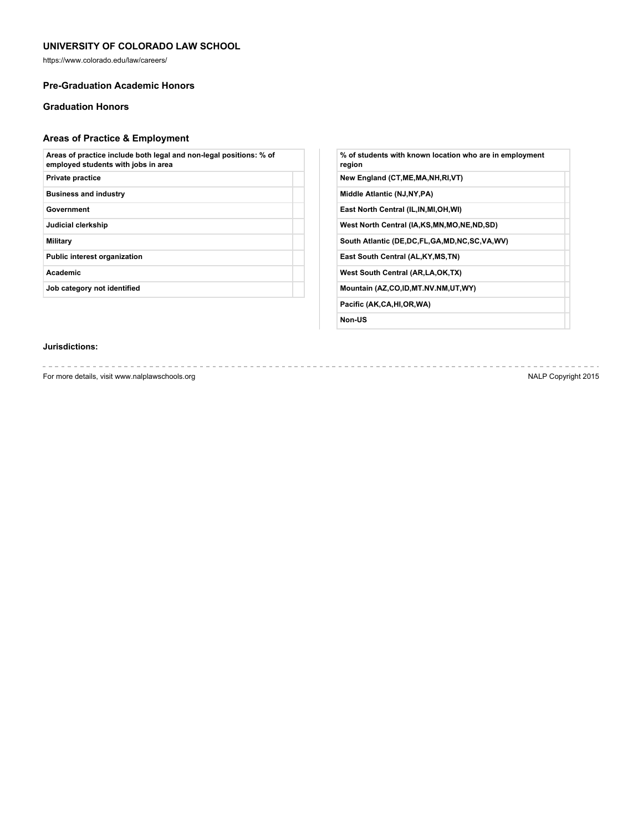https://www.colorado.edu/law/careers/

## **Pre-Graduation Academic Honors**

# **Graduation Honors**

# **Areas of Practice & Employment**

| Areas of practice include both legal and non-legal positions: % of<br>employed students with jobs in area |  |
|-----------------------------------------------------------------------------------------------------------|--|
| <b>Private practice</b>                                                                                   |  |
| <b>Business and industry</b>                                                                              |  |
| Government                                                                                                |  |
| Judicial clerkship                                                                                        |  |
| Military                                                                                                  |  |
| <b>Public interest organization</b>                                                                       |  |
| <b>Academic</b>                                                                                           |  |
| Job category not identified                                                                               |  |
|                                                                                                           |  |

| % of students with known location who are in employment<br>region |
|-------------------------------------------------------------------|
| New England (CT, ME, MA, NH, RI, VT)                              |
| Middle Atlantic (NJ, NY, PA)                                      |
| East North Central (IL, IN, MI, OH, WI)                           |
| West North Central (IA,KS,MN,MO,NE,ND,SD)                         |
| South Atlantic (DE, DC, FL, GA, MD, NC, SC, VA, WV)               |
| East South Central (AL, KY, MS, TN)                               |
| West South Central (AR, LA, OK, TX)                               |
| Mountain (AZ,CO,ID,MT.NV.NM,UT,WY)                                |
| Pacific (AK,CA,HI,OR,WA)                                          |
|                                                                   |

**Non-US**

# **Jurisdictions:**

For more details, visit www.nalplawschools.org NALP Copyright 2015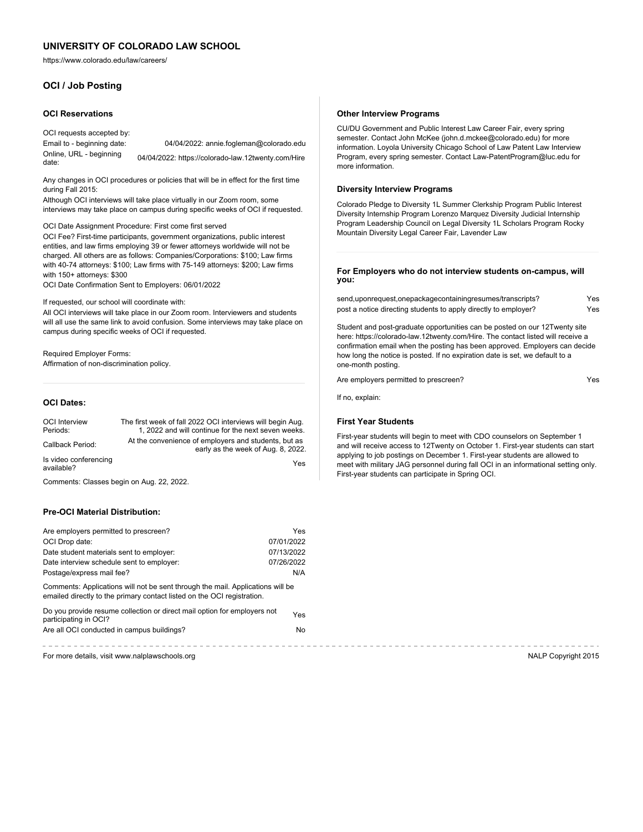https://www.colorado.edu/law/careers/

# **OCI / Job Posting**

#### **OCI Reservations**

OCI requests accepted by: Email to - beginning date: 04/04/2022: annie.fogleman@colorado.edu Online, URL - beginning date: 04/04/2022: https://colorado-law.12twenty.com/Hire

Any changes in OCI procedures or policies that will be in effect for the first time during Fall 2015:

Although OCI interviews will take place virtually in our Zoom room, some interviews may take place on campus during specific weeks of OCI if requested.

OCI Date Assignment Procedure: First come first served

OCI Fee? First-time participants, government organizations, public interest entities, and law firms employing 39 or fewer attorneys worldwide will not be charged. All others are as follows: Companies/Corporations: \$100; Law firms with 40-74 attorneys: \$100; Law firms with 75-149 attorneys: \$200; Law firms with 150+ attorneys: \$300

OCI Date Confirmation Sent to Employers: 06/01/2022

If requested, our school will coordinate with:

All OCI interviews will take place in our Zoom room. Interviewers and students will all use the same link to avoid confusion. Some interviews may take place on campus during specific weeks of OCI if requested.

## Required Employer Forms:

Affirmation of non-discrimination policy.

#### **OCI Dates:**

| <b>OCI</b> Interview<br>Periods:    | The first week of fall 2022 OCI interviews will begin Aug.<br>1, 2022 and will continue for the next seven weeks. |
|-------------------------------------|-------------------------------------------------------------------------------------------------------------------|
| Callback Period:                    | At the convenience of employers and students, but as<br>early as the week of Aug. 8, 2022.                        |
| Is video conferencing<br>available? | Yes                                                                                                               |

Comments: Classes begin on Aug. 22, 2022.

## **Pre-OCI Material Distribution:**

| Are employers permitted to prescreen?                                                                                                                     | Yes        |
|-----------------------------------------------------------------------------------------------------------------------------------------------------------|------------|
| OCI Drop date:                                                                                                                                            | 07/01/2022 |
| Date student materials sent to employer:                                                                                                                  | 07/13/2022 |
| Date interview schedule sent to employer:                                                                                                                 | 07/26/2022 |
| Postage/express mail fee?                                                                                                                                 | N/A        |
| Comments: Applications will not be sent through the mail. Applications will be<br>emailed directly to the primary contact listed on the OCI registration. |            |
| Do you provide resume collection or direct mail option for employers not<br>participating in OCI?                                                         | Yes.       |
| Are all OCI conducted in campus buildings?                                                                                                                | No.        |
|                                                                                                                                                           |            |

For more details, visit www.nalplawschools.org NALP Copyright 2015

#### **Other Interview Programs**

CU/DU Government and Public Interest Law Career Fair, every spring semester. Contact John McKee (john.d.mckee@colorado.edu) for more information. Loyola University Chicago School of Law Patent Law Interview Program, every spring semester. Contact Law-PatentProgram@luc.edu for more information.

### **Diversity Interview Programs**

Colorado Pledge to Diversity 1L Summer Clerkship Program Public Interest Diversity Internship Program Lorenzo Marquez Diversity Judicial Internship Program Leadership Council on Legal Diversity 1L Scholars Program Rocky Mountain Diversity Legal Career Fair, Lavender Law

#### **For Employers who do not interview students on-campus, will you:**

| send,uponrequest,onepackagecontainingresumes/transcripts?       | Yes |
|-----------------------------------------------------------------|-----|
| post a notice directing students to apply directly to employer? | Yes |

Student and post-graduate opportunities can be posted on our 12Twenty site here: https://colorado-law.12twenty.com/Hire. The contact listed will receive a confirmation email when the posting has been approved. Employers can decide how long the notice is posted. If no expiration date is set, we default to a one-month posting.

Are employers permitted to prescreen? The control of the SNS and Yes

If no, explain:

## **First Year Students**

First-year students will begin to meet with CDO counselors on September 1 and will receive access to 12Twenty on October 1. First-year students can start applying to job postings on December 1. First-year students are allowed to meet with military JAG personnel during fall OCI in an informational setting only. First-year students can participate in Spring OCI.